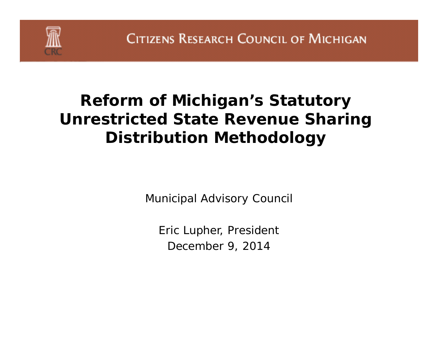

### **Reform of Michigan's Statutory Unrestricted State Revenue Sharing Distribution Methodology**

Municipal Advisory Council

Eric Lupher, President December 9, 2014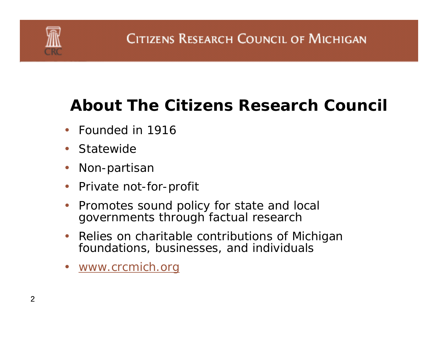

### **About The Citizens Research Council**

- Founded in 1916
- Statewide
- $\bullet$ Non-partisan
- Private not-for-profit
- • Promotes sound policy for state and local governments through factual research
- $\bullet$  Relies on charitable contributions of Michigan foundations, businesses, and individuals
- *www.crcmich.org*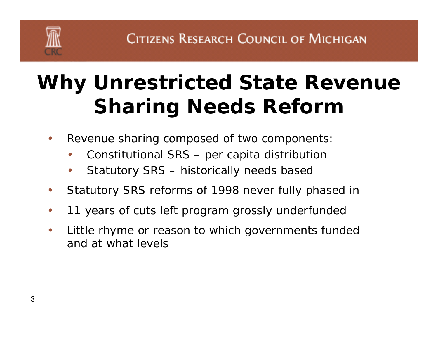# **Why Unrestricted State Revenue Sharing Needs Reform**

- $\bullet$  Revenue sharing composed of two components:
	- •Constitutional SRS – per capita distribution
	- •Statutory SRS – historically needs based
- $\bullet$ Statutory SRS reforms of 1998 never fully phased in
- $\bullet$ 11 years of cuts left program grossly underfunded
- $\bullet$  Little rhyme or reason to which governments funded and at what levels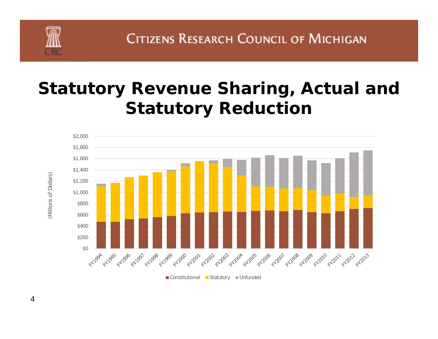

### **Statutory Revenue Sharing, Actual and Statutory Reduction**



4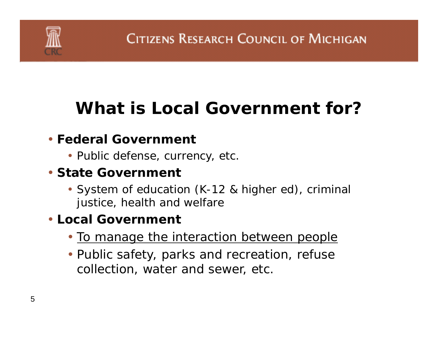

# **What is Local Government for?**

#### • **Federal Government**

• Public defense, currency, etc.

#### • **State Government**

• System of education (K-12 & higher ed), criminal justice, health and welfare

#### • **Local Government**

- To manage the interaction between people
- Public safety, parks and recreation, refuse collection, water and sewer, etc.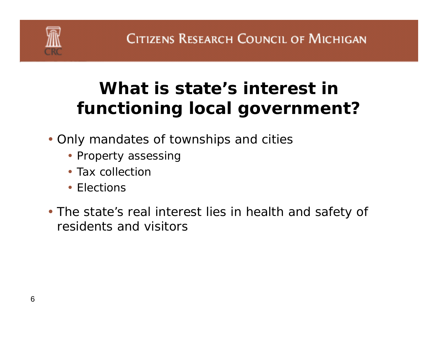

# **What is state's interest in functioning local government?**

- Only mandates of townships and cities
	- Property assessing
	- Tax collection
	- Elections
- The state's real interest lies in health and safety of residents and visitors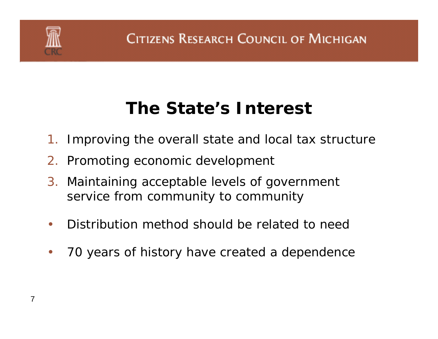

### **The State's Interest**

- 1. Improving the overall state and local tax structure
- 2. Promoting economic development
- 3. Maintaining acceptable levels of government service from community to community
- $\bullet$ • Distribution method should be related to need
- $\bullet$ 70 years of history have created a dependence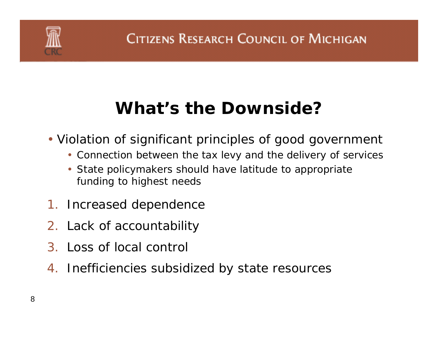

# **What's the Downside?**

- Violation of significant principles of good government
	- Connection between the tax levy and the delivery of services
	- State policymakers should have latitude to appropriate funding to highest needs
- 1. Increased dependence
- 2. Lack of accountability
- 3. Loss of local control
- 4. Inefficiencies subsidized by state resources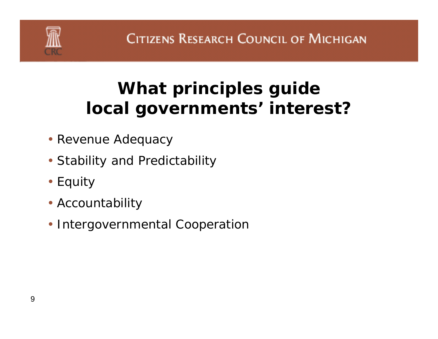

# **What principles guide local governments' interest?**

- Revenue Adequacy
- Stability and Predictability
- Equity
- Accountability
- Intergovernmental Cooperation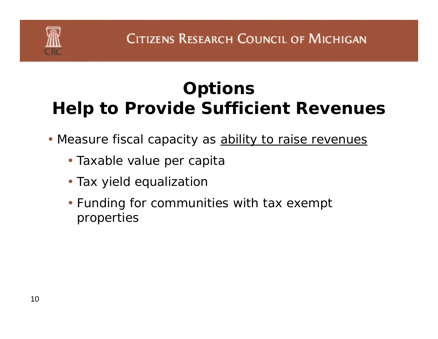# **Options Help to Provide Sufficient Revenues**

- Measure fiscal capacity as **ability to raise revenues** 
	- Taxable value per capita
	- Tax yield equalizatior
	- Funding for communities with tax exempt properties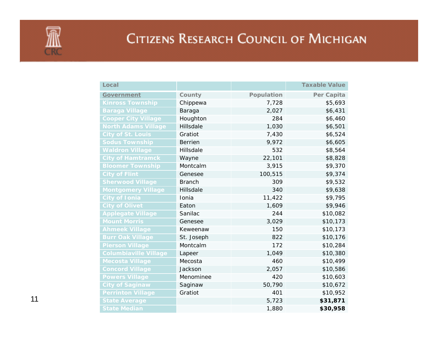| Local                        |                |            | <b>Taxable Value</b> |
|------------------------------|----------------|------------|----------------------|
| Government                   | County         | Population | Per Capita           |
| <b>Kinross Township</b>      | Chippewa       | 7,728      | \$5,693              |
| <b>Baraga Village</b>        | Baraga         | 2,027      | \$6,431              |
| <b>Cooper City Village</b>   | Houghton       | 284        | \$6,460              |
| <b>North Adams Village</b>   | Hillsdale      | 1,030      | \$6,501              |
| <b>City of St. Louis</b>     | Gratiot        | 7,430      | \$6,524              |
| <b>Sodus Township</b>        | <b>Berrien</b> | 9,972      | \$6,605              |
| <b>Waldron Village</b>       | Hillsdale      | 532        | \$8,564              |
| <b>City of Hamtramck</b>     | Wayne          | 22,101     | \$8,828              |
| <b>Bloomer Township</b>      | Montcalm       | 3,915      | \$9,370              |
| <b>City of Flint</b>         | Genesee        | 100,515    | \$9,374              |
| <b>Sherwood Village</b>      | <b>Branch</b>  | 309        | \$9,532              |
| <b>Montgomery Village</b>    | Hillsdale      | 340        | \$9,638              |
| <b>City of Ionia</b>         | Ionia          | 11,422     | \$9,795              |
| <b>City of Olivet</b>        | Eaton          | 1,609      | \$9,946              |
| <b>Applegate Village</b>     | Sanilac        | 244        | \$10,082             |
| <b>Mount Morris</b>          | Genesee        | 3,029      | \$10,173             |
| <b>Ahmeek Village</b>        | Keweenaw       | 150        | \$10,173             |
| <b>Burr Oak Village</b>      | St. Joseph     | 822        | \$10,176             |
| <b>Pierson Village</b>       | Montcalm       | 172        | \$10,284             |
| <b>Columbiaville Village</b> | Lapeer         | 1,049      | \$10,380             |
| <b>Mecosta Village</b>       | Mecosta        | 460        | \$10,499             |
| <b>Concord Village</b>       | Jackson        | 2,057      | \$10,586             |
| <b>Powers Village</b>        | Menominee      | 420        | \$10,603             |
| <b>City of Saginaw</b>       | Saginaw        | 50,790     | \$10,672             |
| <b>Perrinton Village</b>     | Gratiot        | 401        | \$10,952             |
| <b>State Average</b>         |                | 5,723      | \$31,871             |
| <b>State Median</b>          |                | 1,880      | \$30,958             |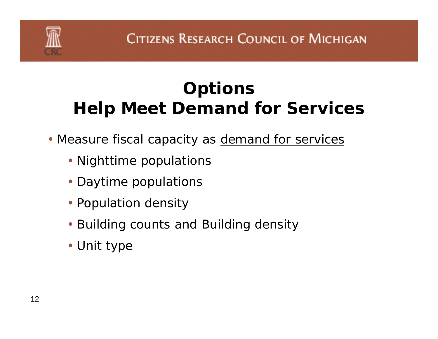# **Options Help Meet Demand for Services**

- Measure fiscal capacity as **demand for services** 
	- Nighttime populations
	- Daytime populations
	- Population density
	- Building counts and Building density
	- Unit type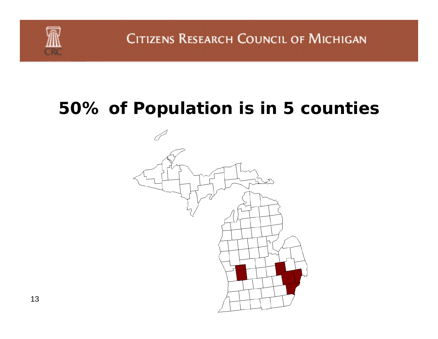

### **50% of Population is in 5 counties**

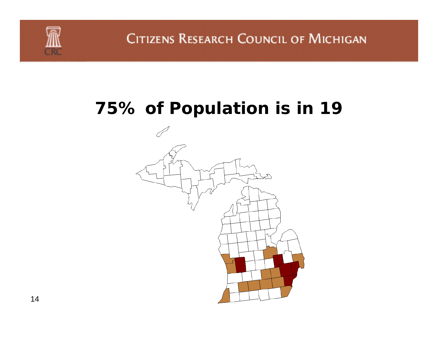### **75% of Population is in 19**

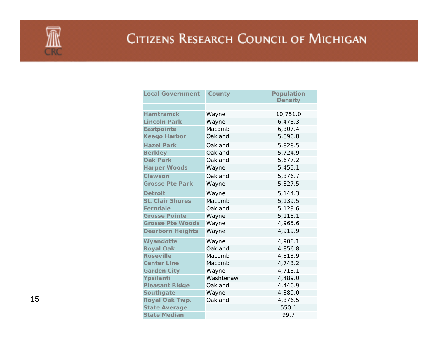

| <b>Local Government</b> | <u>County</u> | <b>Population</b> |
|-------------------------|---------------|-------------------|
|                         |               | <b>Density</b>    |
|                         |               |                   |
| <b>Hamtramck</b>        | Wayne         | 10,751.0          |
| <b>Lincoln Park</b>     | Wayne         | 6,478.3           |
| <b>Eastpointe</b>       | Macomb        | 6,307.4           |
| <b>Keego Harbor</b>     | Oakland       | 5,890.8           |
| <b>Hazel Park</b>       | Oakland       | 5,828.5           |
| <b>Berkley</b>          | Oakland       | 5,724.9           |
| <b>Oak Park</b>         | Oakland       | 5,677.2           |
| <b>Harper Woods</b>     | Wayne         | 5,455.1           |
| <b>Clawson</b>          | Oakland       | 5,376.7           |
| <b>Grosse Pte Park</b>  | Wayne         | 5,327.5           |
| <b>Detroit</b>          | Wayne         | 5,144.3           |
| <b>St. Clair Shores</b> | Macomb        | 5,139.5           |
| <b>Ferndale</b>         | Oakland       | 5,129.6           |
| <b>Grosse Pointe</b>    | Wayne         | 5,118.1           |
| <b>Grosse Pte Woods</b> | Wayne         | 4,965.6           |
| <b>Dearborn Heights</b> | Wayne         | 4,919.9           |
| Wyandotte               | Wayne         | 4,908.1           |
| <b>Royal Oak</b>        | Oakland       | 4,856.8           |
| <b>Roseville</b>        | Macomb        | 4,813.9           |
| <b>Center Line</b>      | Macomb        | 4,743.2           |
| <b>Garden City</b>      | Wayne         | 4,718.1           |
| Ypsilanti               | Washtenaw     | 4,489.0           |
| <b>Pleasant Ridge</b>   | Oakland       | 4,440.9           |
| <b>Southgate</b>        | Wayne         | 4,389.0           |
| Royal Oak Twp.          | Oakland       | 4,376.5           |
| <b>State Average</b>    |               | 550.1             |
| <b>State Median</b>     |               | 99.7              |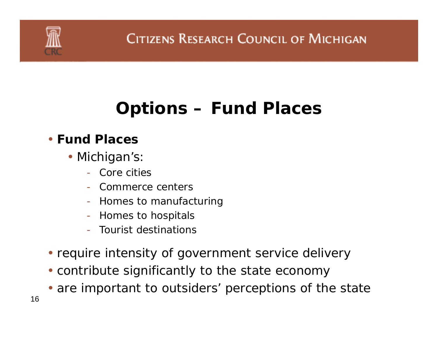### **Options – Fund Places**

#### • **Fund Places**

- Michigan's:
	- Core cities
	- Commerce centers
	- Homes to manufacturing
	- -Homes to hospitals
	- Tourist destinations
- require intensity of government service delivery
- contribute significantly to the state economy
- are important to outsiders' perceptions of the state
- 16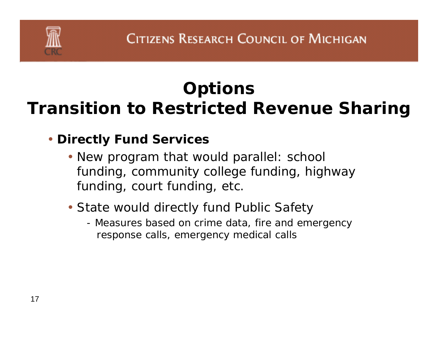# **Options Transition to Restricted Revenue Sharing**

#### • **Directly Fund Services**

- New program that would parallel: school funding, community college funding, highway funding, court funding, etc.
- State would directly fund Public Safety
	- Measures based on crime data, fire and emergency response calls, emergency medical calls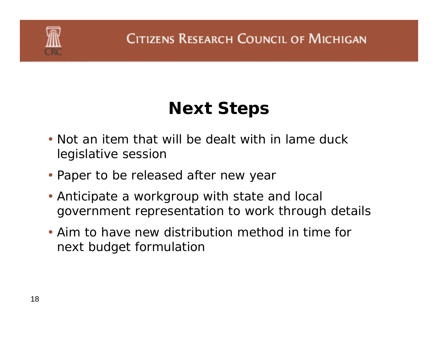

# **Next Steps**

- Not an item that will be dealt with in lame duck legislative session
- Paper to be released after new year
- Anticipate a workgroup with state and local government representation to work through details
- Aim to have new distribution method in time for next budget formulation